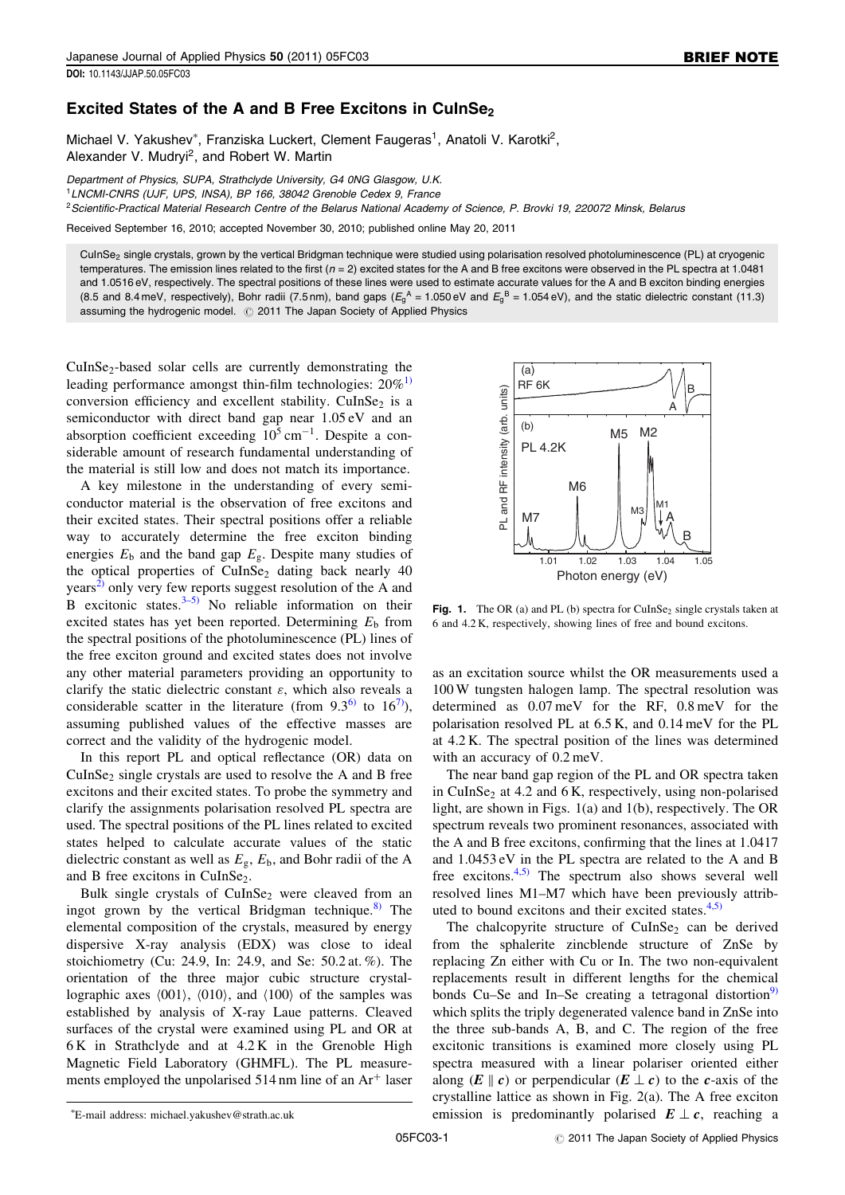## Excited States of the A and B Free Excitons in CuInSe<sub>2</sub>

Michael V. Yakushev\*, Franziska Luckert, Clement Faugeras<sup>1</sup>, Anatoli V. Karotki<sup>2</sup>, Alexander V. Mudryi<sup>2</sup>, and Robert W. Martin

Department of Physics, SUPA, Strathclyde University, G4 0NG Glasgow, U.K. <sup>1</sup>LNCMI-CNRS (UJF, UPS, INSA), BP 166, 38042 Grenoble Cedex 9, France

<sup>2</sup> Scientific-Practical Material Research Centre of the Belarus National Academy of Science, P. Brovki 19, 220072 Minsk, Belarus

Received September 16, 2010; accepted November 30, 2010; published online May 20, 2011

CuInSe<sub>2</sub> single crystals, grown by the vertical Bridgman technique were studied using polarisation resolved photoluminescence (PL) at cryogenic temperatures. The emission lines related to the first  $(n = 2)$  excited states for the A and B free excitons were observed in the PL spectra at 1.0481 and 1.0516 eV, respectively. The spectral positions of these lines were used to estimate accurate values for the A and B exciton binding energies (8.5 and 8.4 meV, respectively), Bohr radii (7.5 nm), band gaps ( $E_9^A$  = 1.050 eV and  $E_9^B$  = 1.054 eV), and the static dielectric constant (11.3) assuming the hydrogenic model.  $\oslash$  2011 The Japan Society of Applied Physics

CuInSe<sub>2</sub>-based solar cells are currently demonstrating the leading performance amongst thin-film technologies:  $20\%$ <sup>[1\)](#page-1-0)</sup> conversion efficiency and excellent stability. CuInSe<sub>2</sub> is a semiconductor with direct band gap near 1.05 eV and an absorption coefficient exceeding  $10^5$  cm<sup>-1</sup>. Despite a considerable amount of research fundamental understanding of the material is still low and does not match its importance.

A key milestone in the understanding of every semiconductor material is the observation of free excitons and their excited states. Their spectral positions offer a reliable way to accurately determine the free exciton binding energies  $E_b$  and the band gap  $E_g$ . Despite many studies of the optical properties of  $CuInSe<sub>2</sub>$  dating back nearly 40  $years<sup>2</sup>$  only very few reports suggest resolution of the A and B excitonic states. $3-5$  No reliable information on their excited states has yet been reported. Determining  $E<sub>b</sub>$  from the spectral positions of the photoluminescence (PL) lines of the free exciton ground and excited states does not involve any other material parameters providing an opportunity to clarify the static dielectric constant  $\varepsilon$ , which also reveals a considerable scatter in the literature (from  $9.3^{6}$ ) to  $16^{7}$ ), assuming published values of the effective masses are correct and the validity of the hydrogenic model.

In this report PL and optical reflectance (OR) data on  $CuInSe<sub>2</sub> single crystals are used to resolve the A and B free$ excitons and their excited states. To probe the symmetry and clarify the assignments polarisation resolved PL spectra are used. The spectral positions of the PL lines related to excited states helped to calculate accurate values of the static dielectric constant as well as  $E_{\rm g}$ ,  $E_{\rm b}$ , and Bohr radii of the A and B free excitons in CuInSe<sub>2</sub>.

Bulk single crystals of  $CuInSe<sub>2</sub>$  were cleaved from an ingot grown by the vertical Bridgman technique.<sup>[8\)](#page-1-0)</sup> The elemental composition of the crystals, measured by energy dispersive X-ray analysis (EDX) was close to ideal stoichiometry (Cu: 24.9, In: 24.9, and Se: 50.2 at. %). The orientation of the three major cubic structure crystallographic axes  $\langle 001 \rangle$ ,  $\langle 010 \rangle$ , and  $\langle 100 \rangle$  of the samples was established by analysis of X-ray Laue patterns. Cleaved surfaces of the crystal were examined using PL and OR at  $6 K$  in Strathclyde and at  $4.2 K$  in the Grenoble High Magnetic Field Laboratory (GHMFL). The PL measurements employed the unpolarised  $514$  nm line of an  $Ar<sup>+</sup>$  laser

Fig. 1. The OR (a) and PL (b) spectra for CuInSe<sub>2</sub> single crystals taken at 6 and 4.2 K, respectively, showing lines of free and bound excitons.

as an excitation source whilst the OR measurements used a 100 W tungsten halogen lamp. The spectral resolution was determined as 0.07 meV for the RF, 0.8 meV for the polarisation resolved PL at 6.5 K, and 0.14 meV for the PL at 4.2 K. The spectral position of the lines was determined with an accuracy of 0.2 meV.

The near band gap region of the PL and OR spectra taken in CuInSe<sub>2</sub> at 4.2 and 6 K, respectively, using non-polarised light, are shown in Figs. 1(a) and 1(b), respectively. The OR spectrum reveals two prominent resonances, associated with the A and B free excitons, confirming that the lines at 1.0417 and 1.0453 eV in the PL spectra are related to the A and B free excitons. $4,5$  The spectrum also shows several well resolved lines M1–M7 which have been previously attributed to bound excitons and their excited states. $4,5$ )

The chalcopyrite structure of CuInSe<sub>2</sub> can be derived from the sphalerite zincblende structure of ZnSe by replacing Zn either with Cu or In. The two non-equivalent replacements result in different lengths for the chemical bonds Cu–Se and In–Se creating a tetragonal distortion<sup>[9\)](#page-1-0)</sup> which splits the triply degenerated valence band in ZnSe into the three sub-bands A, B, and C. The region of the free excitonic transitions is examined more closely using PL spectra measured with a linear polariser oriented either along  $(E \parallel c)$  or perpendicular  $(E \perp c)$  to the *c*-axis of the crystalline lattice as shown in Fig. 2(a). The A free exciton emission is predominantly polarised  $E \perp c$ , reaching a

<sup>(</sup>a)  $RF 6K$ units) PL and RF intensity (arb. units) A PL and RF intensity (arb. (b) M5 M2 PL 4.2K M<sub>6</sub> M1 M3 M<sub>7</sub> A B 1.01 1.02 1.03 1.04 1.05 Photon energy (eV)

E-mail address: michael.yakushev@strath.ac.uk